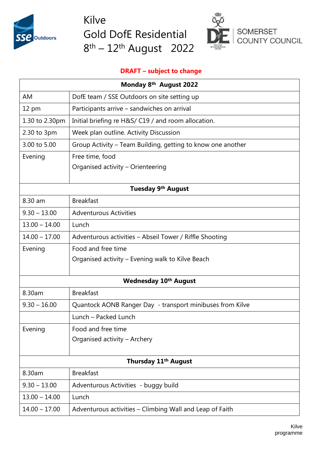

Kilve Gold DofE Residential 8<sup>th</sup> – 12<sup>th</sup> August 2022



## **DRAFT – subject to change**

| Monday 8 <sup>th</sup> August 2022 |                                                             |  |
|------------------------------------|-------------------------------------------------------------|--|
| AM                                 | DofE team / SSE Outdoors on site setting up                 |  |
| 12 pm                              | Participants arrive - sandwiches on arrival                 |  |
| 1.30 to 2.30pm                     | Initial briefing re H&S/ C19 / and room allocation.         |  |
| 2.30 to 3pm                        | Week plan outline. Activity Discussion                      |  |
| 3.00 to 5.00                       | Group Activity – Team Building, getting to know one another |  |
| Evening                            | Free time, food                                             |  |
|                                    | Organised activity - Orienteering                           |  |
| Tuesday 9 <sup>th</sup> August     |                                                             |  |
| 8.30 am                            | <b>Breakfast</b>                                            |  |
| $9.30 - 13.00$                     | <b>Adventurous Activities</b>                               |  |
| $13.00 - 14.00$                    | Lunch                                                       |  |
| $14.00 - 17.00$                    | Adventurous activities - Abseil Tower / Riffle Shooting     |  |
| Evening                            | Food and free time                                          |  |
|                                    | Organised activity – Evening walk to Kilve Beach            |  |
| <b>Wednesday 10th August</b>       |                                                             |  |
| 8.30am                             | <b>Breakfast</b>                                            |  |
| $9.30 - 16.00$                     | Quantock AONB Ranger Day - transport minibuses from Kilve   |  |
|                                    | Lunch - Packed Lunch                                        |  |
| Evening                            | Food and free time                                          |  |
|                                    | Organised activity - Archery                                |  |
|                                    |                                                             |  |
| Thursday 11 <sup>th</sup> August   |                                                             |  |
| 8.30am                             | <b>Breakfast</b>                                            |  |
| $9.30 - 13.00$                     | Adventurous Activities - buggy build                        |  |
| $13.00 - 14.00$                    | Lunch                                                       |  |
| $14.00 - 17.00$                    | Adventurous activities - Climbing Wall and Leap of Faith    |  |